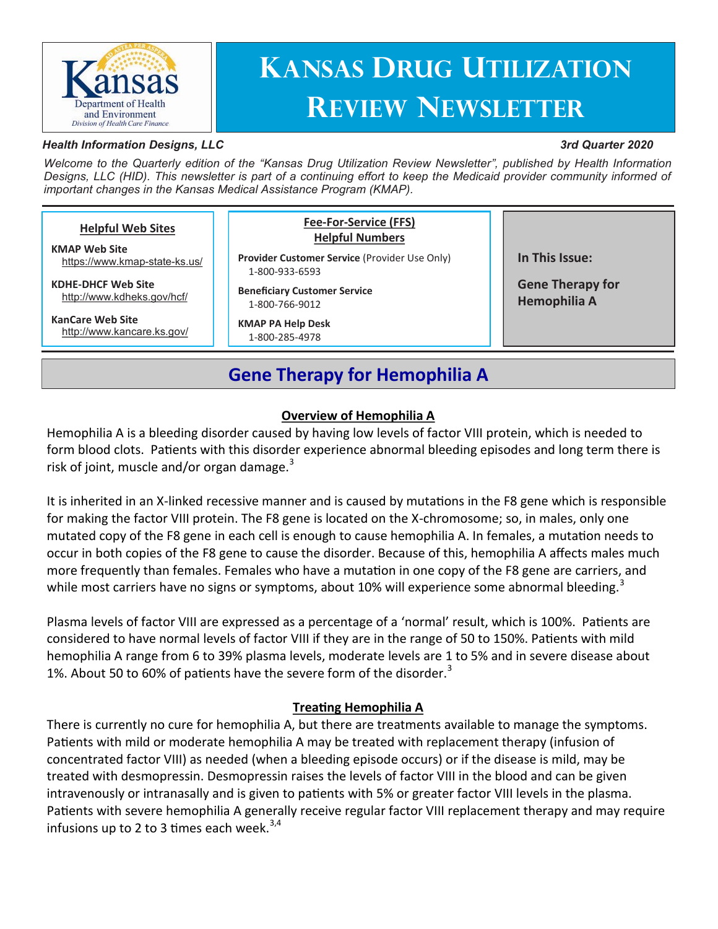

# **Kansas Drug Utilization Review Newsletter**

#### *Health Information Designs, LLC*

#### *3rd Quarter 2020*

*Welcome to the Quarterly edition of the "Kansas Drug Utilization Review Newsletter", published by Health Information Designs, LLC (HID). This newsletter is part of a continuing effort to keep the Medicaid provider community informed of important changes in the Kansas Medical Assistance Program (KMAP).*

| <b>Helpful Web Sites</b><br><b>KMAP Web Site</b><br>https://www.kmap-state-ks.us/<br><b>KDHE-DHCF Web Site</b><br>http://www.kdheks.gov/hcf/<br><b>KanCare Web Site</b><br>http://www.kancare.ks.gov/ | <b>Fee-For-Service (FFS)</b><br><b>Helpful Numbers</b><br><b>Provider Customer Service (Provider Use Only)</b><br>1-800-933-6593<br><b>Beneficiary Customer Service</b><br>1-800-766-9012<br><b>KMAP PA Help Desk</b><br>1-800-285-4978 | In This Issue:<br><b>Gene Therapy for</b><br><b>Hemophilia A</b> |
|-------------------------------------------------------------------------------------------------------------------------------------------------------------------------------------------------------|-----------------------------------------------------------------------------------------------------------------------------------------------------------------------------------------------------------------------------------------|------------------------------------------------------------------|
|                                                                                                                                                                                                       |                                                                                                                                                                                                                                         |                                                                  |

## **Gene Therapy for Hemophilia A**

#### **Overview of Hemophilia A**

Hemophilia A is a bleeding disorder caused by having low levels of factor VIII protein, which is needed to form blood clots. Patients with this disorder experience abnormal bleeding episodes and long term there is risk of joint, muscle and/or organ damage. $3$ 

It is inherited in an X-linked recessive manner and is caused by mutations in the F8 gene which is responsible for making the factor VIII protein. The F8 gene is located on the X-chromosome; so, in males, only one mutated copy of the F8 gene in each cell is enough to cause hemophilia A. In females, a mutation needs to occur in both copies of the F8 gene to cause the disorder. Because of this, hemophilia A affects males much more frequently than females. Females who have a mutation in one copy of the F8 gene are carriers, and while most carriers have no signs or symptoms, about 10% will experience some abnormal bleeding.<sup>3</sup>

Plasma levels of factor VIII are expressed as a percentage of a 'normal' result, which is 100%. Patients are considered to have normal levels of factor VIII if they are in the range of 50 to 150%. Patients with mild hemophilia A range from 6 to 39% plasma levels, moderate levels are 1 to 5% and in severe disease about 1%. About 50 to 60% of patients have the severe form of the disorder. $3$ 

#### **Treating Hemophilia A**

There is currently no cure for hemophilia A, but there are treatments available to manage the symptoms. Patients with mild or moderate hemophilia A may be treated with replacement therapy (infusion of concentrated factor VIII) as needed (when a bleeding episode occurs) or if the disease is mild, may be treated with desmopressin. Desmopressin raises the levels of factor VIII in the blood and can be given intravenously or intranasally and is given to patients with 5% or greater factor VIII levels in the plasma. Patients with severe hemophilia A generally receive regular factor VIII replacement therapy and may require infusions up to 2 to 3 times each week.<sup>3,4</sup>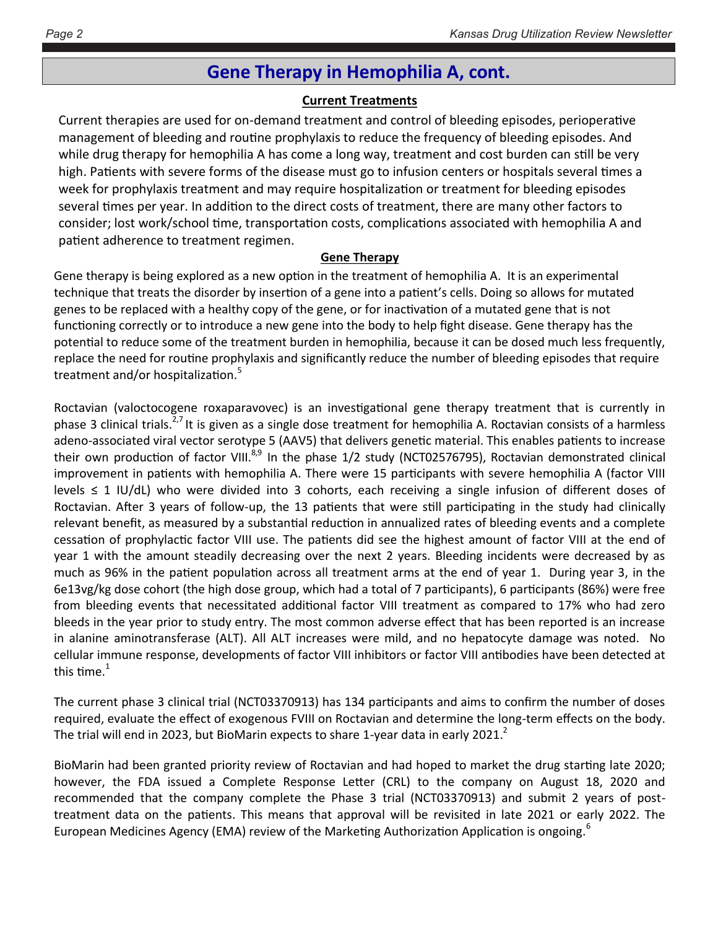## **Gene Therapy in Hemophilia A, cont.**

#### **Current Treatments**

Current therapies are used for on-demand treatment and control of bleeding episodes, perioperative management of bleeding and routine prophylaxis to reduce the frequency of bleeding episodes. And while drug therapy for hemophilia A has come a long way, treatment and cost burden can still be very high. Patients with severe forms of the disease must go to infusion centers or hospitals several times a week for prophylaxis treatment and may require hospitalization or treatment for bleeding episodes several times per year. In addition to the direct costs of treatment, there are many other factors to consider; lost work/school time, transportation costs, complications associated with hemophilia A and patient adherence to treatment regimen.

#### **Gene Therapy**

Gene therapy is being explored as a new option in the treatment of hemophilia A. It is an experimental technique that treats the disorder by insertion of a gene into a patient's cells. Doing so allows for mutated genes to be replaced with a healthy copy of the gene, or for inactivation of a mutated gene that is not functioning correctly or to introduce a new gene into the body to help fight disease. Gene therapy has the potential to reduce some of the treatment burden in hemophilia, because it can be dosed much less frequently, replace the need for routine prophylaxis and significantly reduce the number of bleeding episodes that require treatment and/or hospitalization.<sup>5</sup>

Roctavian (valoctocogene roxaparavovec) is an investigational gene therapy treatment that is currently in phase 3 clinical trials.<sup>2,7</sup> It is given as a single dose treatment for hemophilia A. Roctavian consists of a harmless adeno-associated viral vector serotype 5 (AAV5) that delivers genetic material. This enables patients to increase their own production of factor VIII.<sup>8,9</sup> In the phase 1/2 study (NCT02576795), Roctavian demonstrated clinical improvement in patients with hemophilia A. There were 15 participants with severe hemophilia A (factor VIII levels ≤ 1 IU/dL) who were divided into 3 cohorts, each receiving a single infusion of different doses of Roctavian. After 3 years of follow-up, the 13 patients that were still participating in the study had clinically relevant benefit, as measured by a substantial reduction in annualized rates of bleeding events and a complete cessation of prophylactic factor VIII use. The patients did see the highest amount of factor VIII at the end of year 1 with the amount steadily decreasing over the next 2 years. Bleeding incidents were decreased by as much as 96% in the patient population across all treatment arms at the end of year 1. During year 3, in the 6e13vg/kg dose cohort (the high dose group, which had a total of 7 participants), 6 participants (86%) were free from bleeding events that necessitated additional factor VIII treatment as compared to 17% who had zero bleeds in the year prior to study entry. The most common adverse effect that has been reported is an increase in alanine aminotransferase (ALT). All ALT increases were mild, and no hepatocyte damage was noted. No cellular immune response, developments of factor VIII inhibitors or factor VIII antibodies have been detected at this time. $1$ 

The current phase 3 clinical trial (NCT03370913) has 134 participants and aims to confirm the number of doses required, evaluate the effect of exogenous FVIII on Roctavian and determine the long-term effects on the body. The trial will end in 2023, but BioMarin expects to share 1-year data in early 2021. $^2$ 

BioMarin had been granted priority review of Roctavian and had hoped to market the drug starting late 2020; however, the FDA issued a Complete Response Letter (CRL) to the company on August 18, 2020 and recommended that the company complete the Phase 3 trial (NCT03370913) and submit 2 years of posttreatment data on the patients. This means that approval will be revisited in late 2021 or early 2022. The European Medicines Agency (EMA) review of the Marketing Authorization Application is ongoing.<sup>6</sup>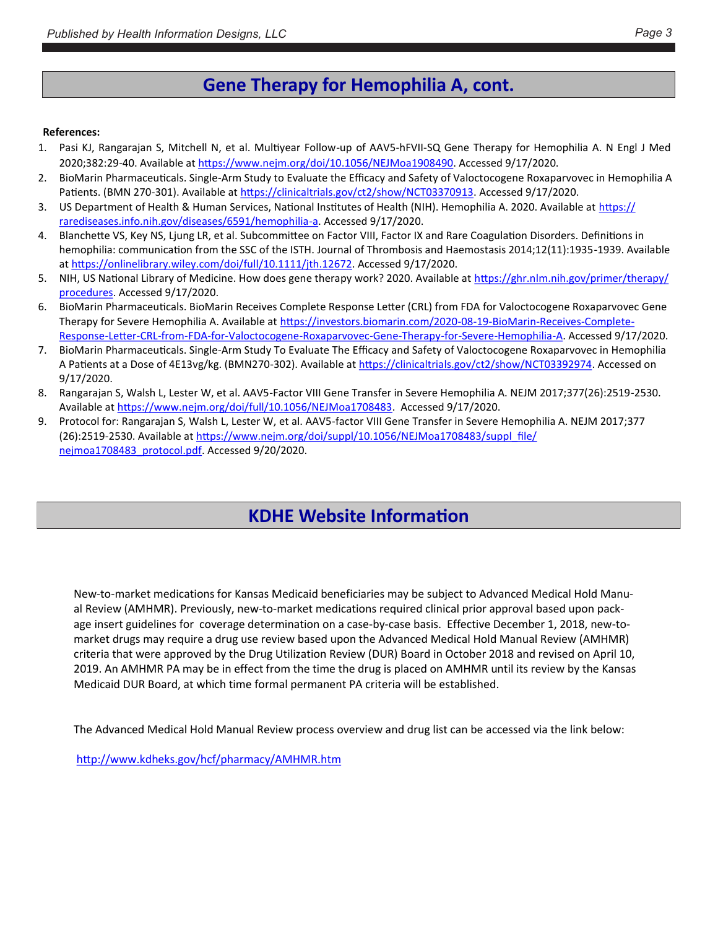## **Gene Therapy for Hemophilia A, cont.**

#### **References:**

- 1. Pasi KJ, Rangarajan S, Mitchell N, et al. Multiyear Follow-up of AAV5-hFVII-SQ Gene Therapy for Hemophilia A. N Engl J Med 2020;382:29-40. Available at [https://www.nejm.org/doi/10.1056/NEJMoa1908490.](https://www.nejm.org/doi/10.1056/NEJMoa1908490) Accessed 9/17/2020.
- 2. BioMarin Pharmaceuticals. Single-Arm Study to Evaluate the Efficacy and Safety of Valoctocogene Roxaparvovec in Hemophilia A Patients. (BMN 270-301). Available at [https://clinicaltrials.gov/ct2/show/NCT03370913.](https://clinicaltrials.gov/ct2/show/NCT03370913) Accessed 9/17/2020.
- 3. US Department of Health & Human Services, National Institutes of Health (NIH). Hemophilia A. 2020. Available at [https://](https://rarediseases.info.nih.gov/diseases/6591/hemophilia-a) [rarediseases.info.nih.gov/diseases/6591/hemophilia](https://rarediseases.info.nih.gov/diseases/6591/hemophilia-a)-a. Accessed 9/17/2020.
- 4. Blanchette VS, Key NS, Ljung LR, et al. Subcommittee on Factor VIII, Factor IX and Rare Coagulation Disorders. Definitions in hemophilia: communication from the SSC of the ISTH. Journal of Thrombosis and Haemostasis 2014;12(11):1935-1939. Available at [https://onlinelibrary.wiley.com/doi/full/10.1111/jth.12672.](https://onlinelibrary.wiley.com/doi/full/10.1111/jth.12672) Accessed 9/17/2020.
- 5. NIH, US National Library of Medicine. How does gene therapy work? 2020. Available at [https://ghr.nlm.nih.gov/primer/therapy/](https://ghr.nlm.nih.gov/primer/therapy/procedures) [procedures.](https://ghr.nlm.nih.gov/primer/therapy/procedures) Accessed 9/17/2020.
- 6. BioMarin Pharmaceuticals. BioMarin Receives Complete Response Letter (CRL) from FDA for Valoctocogene Roxaparvovec Gene Therapy for Severe Hemophilia A. Available at [https://investors.biomarin.com/2020](https://investors.biomarin.com/2020-08-19-BioMarin-Receives-Complete-Response-Letter-CRL-from-FDA-for-Valoctocogene-Roxaparvovec-Gene-Therapy-for-Severe-Hemophilia-A)-08-19-BioMarin-Receives-Complete-Response-Letter-CRL-from-FDA-for-[Valoctocogene](https://investors.biomarin.com/2020-08-19-BioMarin-Receives-Complete-Response-Letter-CRL-from-FDA-for-Valoctocogene-Roxaparvovec-Gene-Therapy-for-Severe-Hemophilia-A)-Roxaparvovec-Gene-Therapy-for-Severe-Hemophilia-A. Accessed 9/17/2020.
- 7. BioMarin Pharmaceuticals. Single-Arm Study To Evaluate The Efficacy and Safety of Valoctocogene Roxaparvovec in Hemophilia A Patients at a Dose of 4E13vg/kg. (BMN270-302). Available at [https://clinicaltrials.gov/ct2/show/NCT03392974.](https://clinicaltrials.gov/ct2/show/NCT03392974) Accessed on 9/17/2020.
- 8. Rangarajan S, Walsh L, Lester W, et al. AAV5-Factor VIII Gene Transfer in Severe Hemophilia A. NEJM 2017;377(26):2519-2530. Available at [https://www.nejm.org/doi/full/10.1056/NEJMoa1708483.](https://www.nejm.org/doi/full/10.1056/NEJMoa1708483) Accessed 9/17/2020.
- 9. Protocol for: Rangarajan S, Walsh L, Lester W, et al. AAV5-factor VIII Gene Transfer in Severe Hemophilia A. NEJM 2017;377 (26):2519-2530. Available at [https://www.nejm.org/doi/suppl/10.1056/NEJMoa1708483/suppl\\_file/](https://www.nejm.org/doi/suppl/10.1056/NEJMoa1708483/suppl_file/nejmoa1708483_protocol.pdf) [nejmoa1708483\\_protocol.pdf.](https://www.nejm.org/doi/suppl/10.1056/NEJMoa1708483/suppl_file/nejmoa1708483_protocol.pdf) Accessed 9/20/2020.

## **KDHE Website Information**

New-to-market medications for Kansas Medicaid beneficiaries may be subject to Advanced Medical Hold Manual Review (AMHMR). Previously, new-to-market medications required clinical prior approval based upon package insert guidelines for coverage determination on a case-by-case basis. Effective December 1, 2018, new-tomarket drugs may require a drug use review based upon the Advanced Medical Hold Manual Review (AMHMR) criteria that were approved by the Drug Utilization Review (DUR) Board in October 2018 and revised on April 10, 2019. An AMHMR PA may be in effect from the time the drug is placed on AMHMR until its review by the Kansas Medicaid DUR Board, at which time formal permanent PA criteria will be established.

The Advanced Medical Hold Manual Review process overview and drug list can be accessed via the link below:

[http://www.kdheks.gov/hcf/pharmacy/AMHMR.htm](https://gcc01.safelinks.protection.outlook.com/?url=http%3A%2F%2Fwww.kdheks.gov%2Fhcf%2Fpharmacy%2FAMHMR.htm&data=02%7C01%7CVictor.Nguyen%40ks.gov%7Cf3fc518e100d4c55a5a508d858c89eba%7Cdcae8101c92d480cbc43c6761ccccc5a%7C0%7C0%7C637356965957430900&sdata=4w56ySJ)